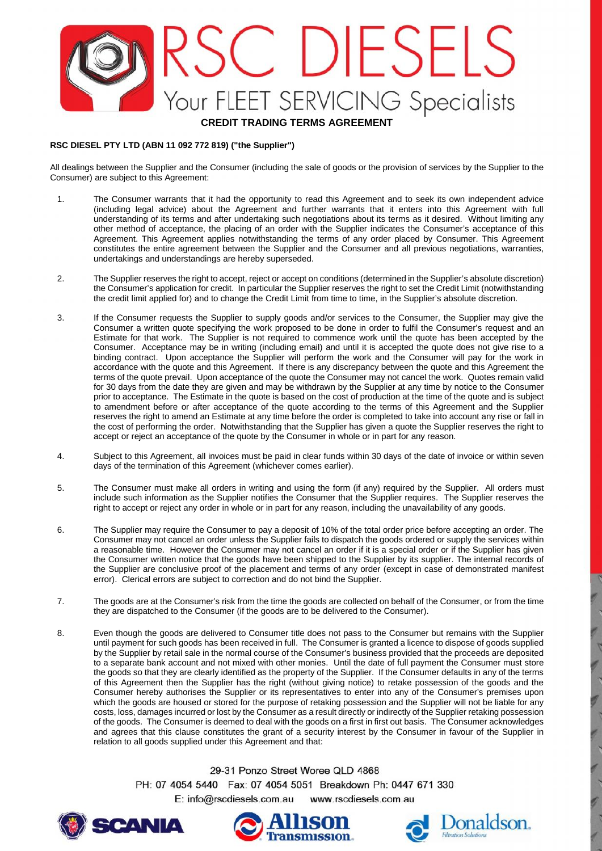# RSC DIESELS Your FLEET SERVICING Specialists

### **CREDIT TRADING TERMS AGREEMENT**

#### **RSC DIESEL PTY LTD (ABN 11 092 772 819) ("the Supplier")**

All dealings between the Supplier and the Consumer (including the sale of goods or the provision of services by the Supplier to the Consumer) are subject to this Agreement:

- 1. The Consumer warrants that it had the opportunity to read this Agreement and to seek its own independent advice (including legal advice) about the Agreement and further warrants that it enters into this Agreement with full understanding of its terms and after undertaking such negotiations about its terms as it desired. Without limiting any other method of acceptance, the placing of an order with the Supplier indicates the Consumer's acceptance of this Agreement. This Agreement applies notwithstanding the terms of any order placed by Consumer. This Agreement constitutes the entire agreement between the Supplier and the Consumer and all previous negotiations, warranties, undertakings and understandings are hereby superseded.
- 2. The Supplier reserves the right to accept, reject or accept on conditions (determined in the Supplier's absolute discretion) the Consumer's application for credit. In particular the Supplier reserves the right to set the Credit Limit (notwithstanding the credit limit applied for) and to change the Credit Limit from time to time, in the Supplier's absolute discretion.
- 3. If the Consumer requests the Supplier to supply goods and/or services to the Consumer, the Supplier may give the Consumer a written quote specifying the work proposed to be done in order to fulfil the Consumer's request and an Estimate for that work. The Supplier is not required to commence work until the quote has been accepted by the Consumer. Acceptance may be in writing (including email) and until it is accepted the quote does not give rise to a binding contract. Upon acceptance the Supplier will perform the work and the Consumer will pay for the work in accordance with the quote and this Agreement. If there is any discrepancy between the quote and this Agreement the terms of the quote prevail. Upon acceptance of the quote the Consumer may not cancel the work. Quotes remain valid for 30 days from the date they are given and may be withdrawn by the Supplier at any time by notice to the Consumer prior to acceptance. The Estimate in the quote is based on the cost of production at the time of the quote and is subject to amendment before or after acceptance of the quote according to the terms of this Agreement and the Supplier reserves the right to amend an Estimate at any time before the order is completed to take into account any rise or fall in the cost of performing the order. Notwithstanding that the Supplier has given a quote the Supplier reserves the right to accept or reject an acceptance of the quote by the Consumer in whole or in part for any reason.
- 4. Subject to this Agreement, all invoices must be paid in clear funds within 30 days of the date of invoice or within seven days of the termination of this Agreement (whichever comes earlier).
- 5. The Consumer must make all orders in writing and using the form (if any) required by the Supplier. All orders must include such information as the Supplier notifies the Consumer that the Supplier requires. The Supplier reserves the right to accept or reject any order in whole or in part for any reason, including the unavailability of any goods.
- 6. The Supplier may require the Consumer to pay a deposit of 10% of the total order price before accepting an order. The Consumer may not cancel an order unless the Supplier fails to dispatch the goods ordered or supply the services within a reasonable time. However the Consumer may not cancel an order if it is a special order or if the Supplier has given the Consumer written notice that the goods have been shipped to the Supplier by its supplier. The internal records of the Supplier are conclusive proof of the placement and terms of any order (except in case of demonstrated manifest error). Clerical errors are subject to correction and do not bind the Supplier.
- 7. The goods are at the Consumer's risk from the time the goods are collected on behalf of the Consumer, or from the time they are dispatched to the Consumer (if the goods are to be delivered to the Consumer).
- 8. Even though the goods are delivered to Consumer title does not pass to the Consumer but remains with the Supplier until payment for such goods has been received in full. The Consumer is granted a licence to dispose of goods supplied by the Supplier by retail sale in the normal course of the Consumer's business provided that the proceeds are deposited to a separate bank account and not mixed with other monies. Until the date of full payment the Consumer must store the goods so that they are clearly identified as the property of the Supplier. If the Consumer defaults in any of the terms of this Agreement then the Supplier has the right (without giving notice) to retake possession of the goods and the Consumer hereby authorises the Supplier or its representatives to enter into any of the Consumer's premises upon which the goods are housed or stored for the purpose of retaking possession and the Supplier will not be liable for any costs, loss, damages incurred or lost by the Consumer as a result directly or indirectly of the Supplier retaking possession of the goods. The Consumer is deemed to deal with the goods on a first in first out basis. The Consumer acknowledges and agrees that this clause constitutes the grant of a security interest by the Consumer in favour of the Supplier in relation to all goods supplied under this Agreement and that:

29-31 Ponzo Street Woree QLD 4868

PH: 07 4054 5440 Fax: 07 4054 5051 Breakdown Ph: 0447 671 330 E: info@rscdiesels.com.au www.rscdiesels.com.au





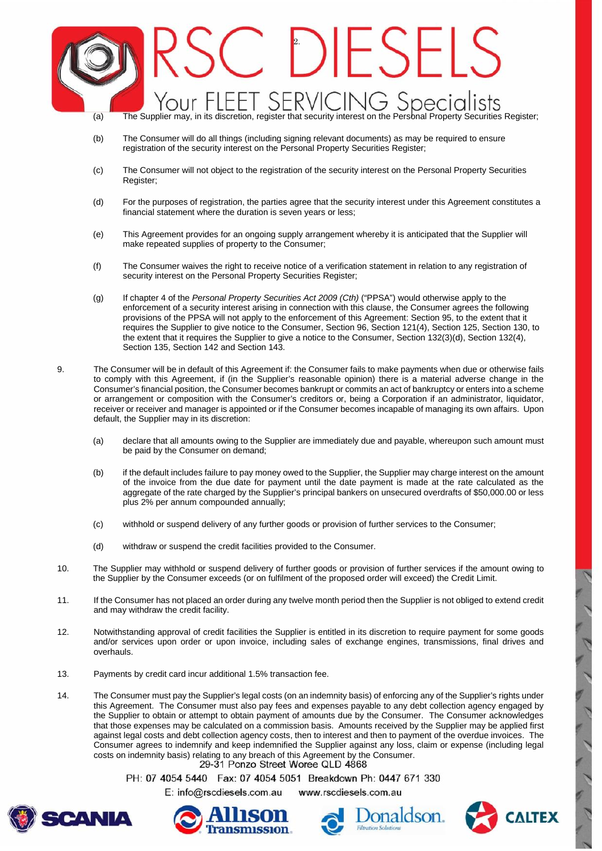### $C$  DESEE our FLEET SERVICING Specialists' (a) The Supplier may, in its discretion, register that security interest on the Personal Property Securities Register;

- (b) The Consumer will do all things (including signing relevant documents) as may be required to ensure registration of the security interest on the Personal Property Securities Register;
- (c) The Consumer will not object to the registration of the security interest on the Personal Property Securities Register;
- (d) For the purposes of registration, the parties agree that the security interest under this Agreement constitutes a financial statement where the duration is seven years or less;
- (e) This Agreement provides for an ongoing supply arrangement whereby it is anticipated that the Supplier will make repeated supplies of property to the Consumer;
- (f) The Consumer waives the right to receive notice of a verification statement in relation to any registration of security interest on the Personal Property Securities Register;
- (g) If chapter 4 of the *Personal Property Securities Act 2009 (Cth)* ("PPSA") would otherwise apply to the enforcement of a security interest arising in connection with this clause, the Consumer agrees the following provisions of the PPSA will not apply to the enforcement of this Agreement: Section 95, to the extent that it requires the Supplier to give notice to the Consumer, Section 96, Section 121(4), Section 125, Section 130, to the extent that it requires the Supplier to give a notice to the Consumer, Section 132(3)(d), Section 132(4), Section 135, Section 142 and Section 143.
- 9. The Consumer will be in default of this Agreement if: the Consumer fails to make payments when due or otherwise fails to comply with this Agreement, if (in the Supplier's reasonable opinion) there is a material adverse change in the Consumer's financial position, the Consumer becomes bankrupt or commits an act of bankruptcy or enters into a scheme or arrangement or composition with the Consumer's creditors or, being a Corporation if an administrator, liquidator, receiver or receiver and manager is appointed or if the Consumer becomes incapable of managing its own affairs. Upon default, the Supplier may in its discretion:
	- (a) declare that all amounts owing to the Supplier are immediately due and payable, whereupon such amount must be paid by the Consumer on demand;
	- (b) if the default includes failure to pay money owed to the Supplier, the Supplier may charge interest on the amount of the invoice from the due date for payment until the date payment is made at the rate calculated as the aggregate of the rate charged by the Supplier's principal bankers on unsecured overdrafts of \$50,000.00 or less plus 2% per annum compounded annually;
	- (c) withhold or suspend delivery of any further goods or provision of further services to the Consumer;
	- (d) withdraw or suspend the credit facilities provided to the Consumer.
- 10. The Supplier may withhold or suspend delivery of further goods or provision of further services if the amount owing to the Supplier by the Consumer exceeds (or on fulfilment of the proposed order will exceed) the Credit Limit.
- 11. If the Consumer has not placed an order during any twelve month period then the Supplier is not obliged to extend credit and may withdraw the credit facility.
- 12. Notwithstanding approval of credit facilities the Supplier is entitled in its discretion to require payment for some goods and/or services upon order or upon invoice, including sales of exchange engines, transmissions, final drives and overhauls.
- 13. Payments by credit card incur additional 1.5% transaction fee.
- 14. The Consumer must pay the Supplier's legal costs (on an indemnity basis) of enforcing any of the Supplier's rights under this Agreement. The Consumer must also pay fees and expenses payable to any debt collection agency engaged by the Supplier to obtain or attempt to obtain payment of amounts due by the Consumer. The Consumer acknowledges that those expenses may be calculated on a commission basis. Amounts received by the Supplier may be applied first against legal costs and debt collection agency costs, then to interest and then to payment of the overdue invoices. The Consumer agrees to indemnify and keep indemnified the Supplier against any loss, claim or expense (including legal costs on indemnity basis) relating to any breach of this Agreement by the Consumer.

PH: 07 4054 5440 Fax: 07 4054 5051 Breakdown Ph: 0447 671 330

E: info@rscdiesels.com.au www.rscdiesels.com.au







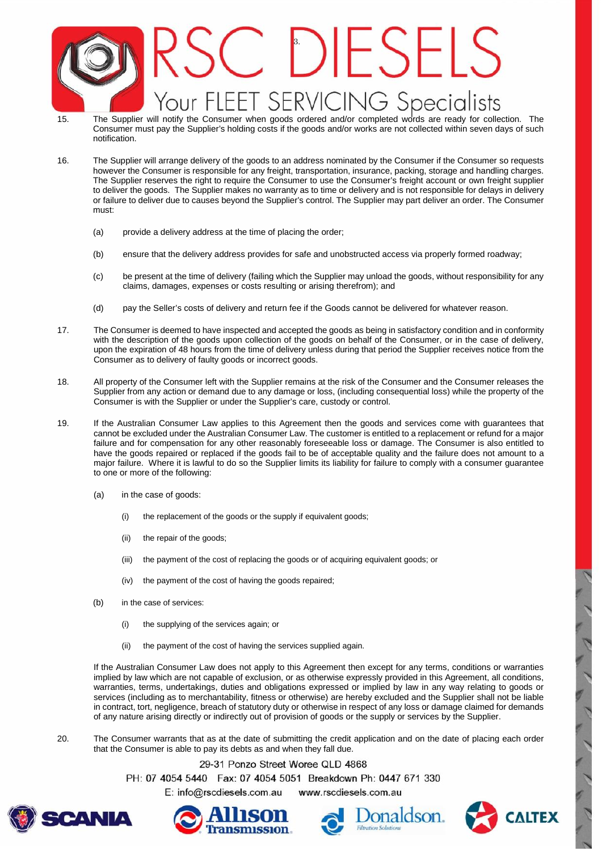## C DIESELS Your FLEET SERVICING Specialists

- 15. The Supplier will notify the Consumer when goods ordered and/or completed words are ready for collection. The Consumer must pay the Supplier's holding costs if the goods and/or works are not collected within seven days of such notification.
- 16. The Supplier will arrange delivery of the goods to an address nominated by the Consumer if the Consumer so requests however the Consumer is responsible for any freight, transportation, insurance, packing, storage and handling charges. The Supplier reserves the right to require the Consumer to use the Consumer's freight account or own freight supplier to deliver the goods. The Supplier makes no warranty as to time or delivery and is not responsible for delays in delivery or failure to deliver due to causes beyond the Supplier's control. The Supplier may part deliver an order. The Consumer must:
	- (a) provide a delivery address at the time of placing the order;
	- (b) ensure that the delivery address provides for safe and unobstructed access via properly formed roadway;
	- (c) be present at the time of delivery (failing which the Supplier may unload the goods, without responsibility for any claims, damages, expenses or costs resulting or arising therefrom); and
	- (d) pay the Seller's costs of delivery and return fee if the Goods cannot be delivered for whatever reason.
- 17. The Consumer is deemed to have inspected and accepted the goods as being in satisfactory condition and in conformity with the description of the goods upon collection of the goods on behalf of the Consumer, or in the case of delivery, upon the expiration of 48 hours from the time of delivery unless during that period the Supplier receives notice from the Consumer as to delivery of faulty goods or incorrect goods.
- 18. All property of the Consumer left with the Supplier remains at the risk of the Consumer and the Consumer releases the Supplier from any action or demand due to any damage or loss, (including consequential loss) while the property of the Consumer is with the Supplier or under the Supplier's care, custody or control.
- 19. If the Australian Consumer Law applies to this Agreement then the goods and services come with guarantees that cannot be excluded under the Australian Consumer Law. The customer is entitled to a replacement or refund for a major failure and for compensation for any other reasonably foreseeable loss or damage. The Consumer is also entitled to have the goods repaired or replaced if the goods fail to be of acceptable quality and the failure does not amount to a major failure. Where it is lawful to do so the Supplier limits its liability for failure to comply with a consumer guarantee to one or more of the following:
	- (a) in the case of goods:
		- (i) the replacement of the goods or the supply if equivalent goods:
		- (ii) the repair of the goods;
		- (iii) the payment of the cost of replacing the goods or of acquiring equivalent goods; or
		- (iv) the payment of the cost of having the goods repaired;
	- (b) in the case of services:
		- (i) the supplying of the services again; or
		- (ii) the payment of the cost of having the services supplied again.

If the Australian Consumer Law does not apply to this Agreement then except for any terms, conditions or warranties implied by law which are not capable of exclusion, or as otherwise expressly provided in this Agreement, all conditions, warranties, terms, undertakings, duties and obligations expressed or implied by law in any way relating to goods or services (including as to merchantability, fitness or otherwise) are hereby excluded and the Supplier shall not be liable in contract, tort, negligence, breach of statutory duty or otherwise in respect of any loss or damage claimed for demands of any nature arising directly or indirectly out of provision of goods or the supply or services by the Supplier.

20. The Consumer warrants that as at the date of submitting the credit application and on the date of placing each order that the Consumer is able to pay its debts as and when they fall due.

29-31 Ponzo Street Woree QLD 4868

PH: 07 4054 5440 Fax: 07 4054 5051 Breakdown Ph: 0447 671 330

E: info@rscdiesels.com.au www.rscdiesels.com.au